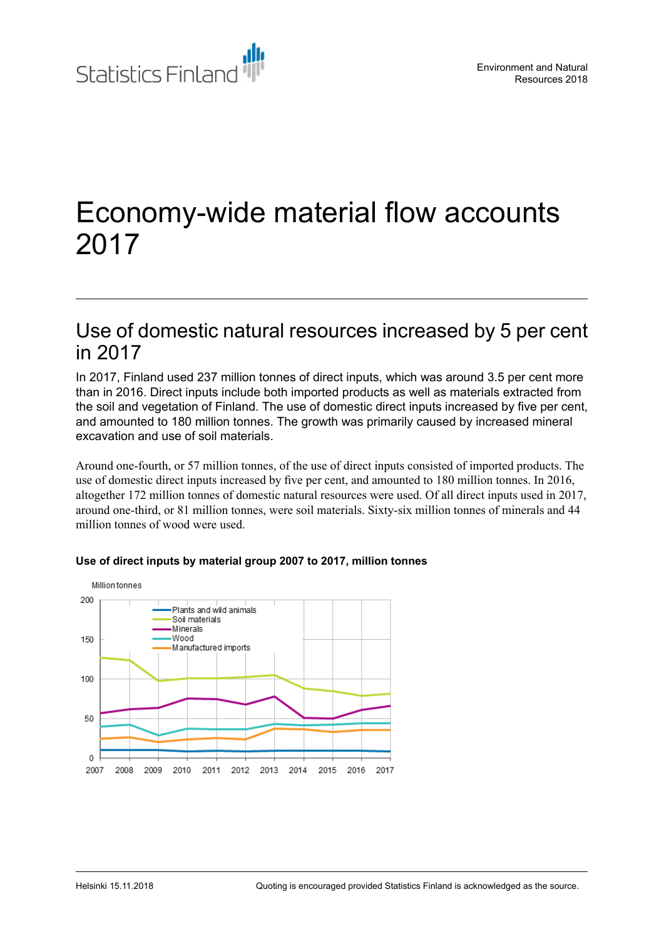

# Economy-wide material flow accounts 2017

### Use of domestic natural resources increased by 5 per cent in 2017

In 2017, Finland used 237 million tonnes of direct inputs, which was around 3.5 per cent more than in 2016. Direct inputs include both imported products as well as materials extracted from the soil and vegetation of Finland. The use of domestic direct inputs increased by five per cent, and amounted to 180 million tonnes. The growth was primarily caused by increased mineral excavation and use of soil materials.

Around one-fourth, or 57 million tonnes, of the use of direct inputs consisted of imported products. The use of domestic direct inputs increased by five per cent, and amounted to 180 million tonnes. In 2016, altogether 172 million tonnes of domestic natural resources were used. Of all direct inputs used in 2017, around one-third, or 81 million tonnes, were soil materials. Sixty-six million tonnes of minerals and 44 million tonnes of wood were used.



#### **Use of direct inputs by material group 2007 to 2017, million tonnes**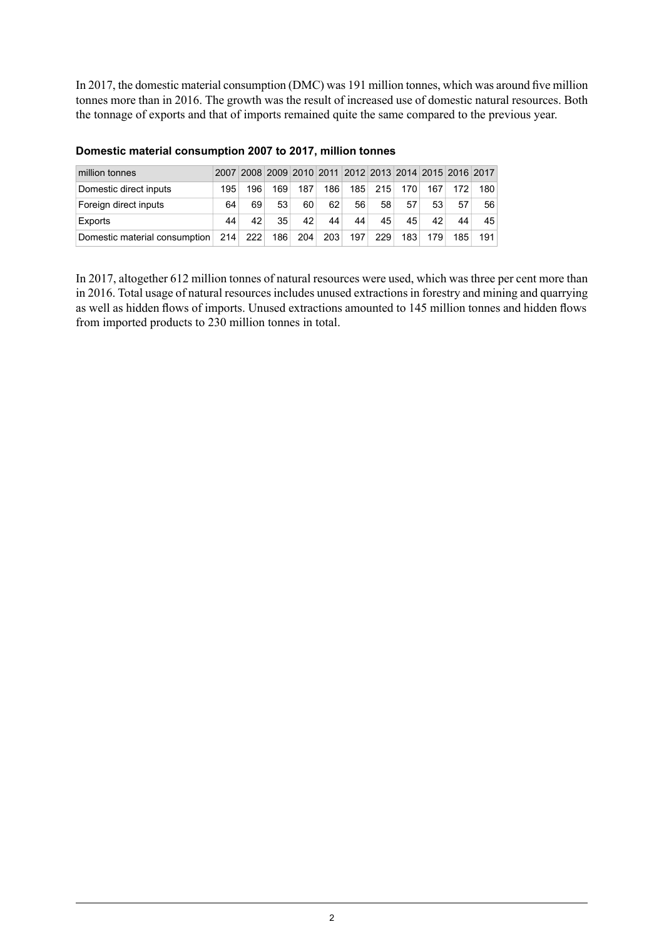In 2017, the domestic material consumption (DMC) was 191 million tonnes, which was around five million tonnes more than in 2016. The growth was the result of increased use of domestic natural resources. Both the tonnage of exports and that of imports remained quite the same compared to the previous year.

| million tonnes                |     | 2007 2008 2009 2010 2011 2012 2013 2014 2015 2016 2017 |     |     |     |     |     |     |     |     |     |
|-------------------------------|-----|--------------------------------------------------------|-----|-----|-----|-----|-----|-----|-----|-----|-----|
| Domestic direct inputs        | 195 | 196                                                    | 169 | 187 | 186 | 185 | 215 | 170 | 167 | 172 | 180 |
| Foreign direct inputs         | 64  | 69                                                     | 53  | 60  | 62  | 56  | 58  | 57  | 53  | 57  | 56  |
| Exports                       | 44  | 42                                                     | 35  | 42  | 44  | 44  | 45  | 45  | 42  | 44  | 45  |
| Domestic material consumption | 214 | 222                                                    | 186 | 204 | 203 | 197 | 229 | 183 | 179 | 185 | 191 |

#### **Domestic material consumption 2007 to 2017, million tonnes**

In 2017, altogether 612 million tonnes of natural resources were used, which was three per cent more than in 2016. Total usage of natural resources includes unused extractions in forestry and mining and quarrying as well as hidden flows of imports. Unused extractions amounted to 145 million tonnes and hidden flows from imported products to 230 million tonnes in total.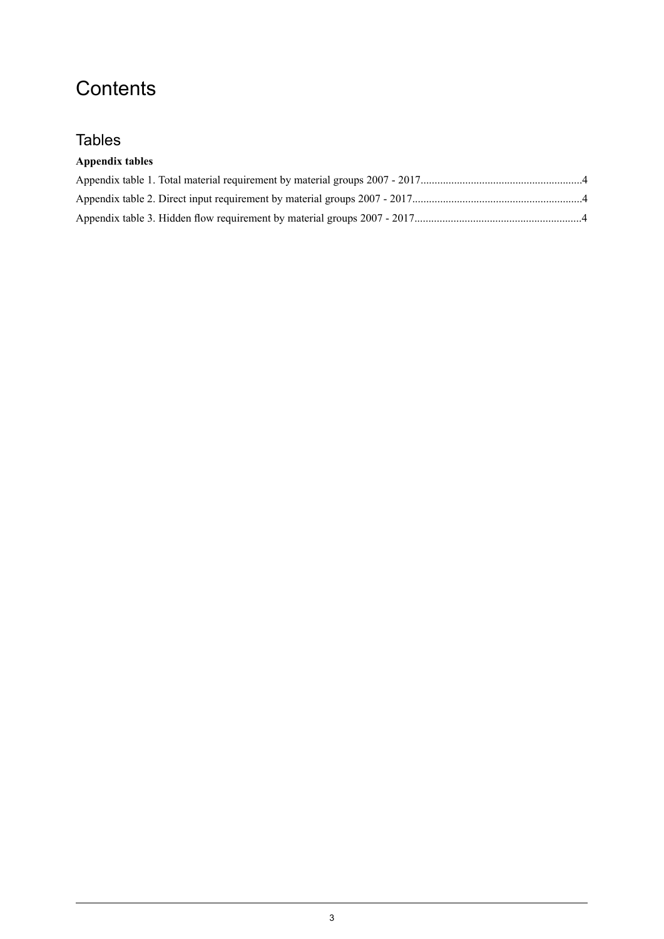# **Contents**

### **Tables**

#### **Appendix tables**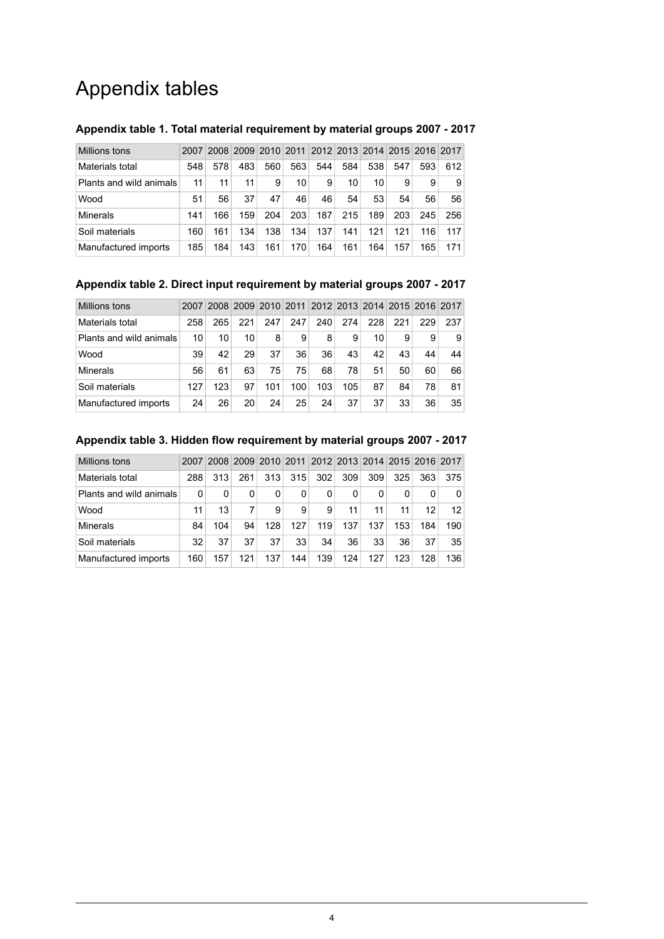# Appendix tables

| Millions tons           | 2007 |     |     | 2008 2009 2010 2011 |     |     |     |     | 2012 2013 2014 2015 2016 2017 |     |     |
|-------------------------|------|-----|-----|---------------------|-----|-----|-----|-----|-------------------------------|-----|-----|
| Materials total         | 548  | 578 | 483 | 560                 | 563 | 544 | 584 | 538 | 547                           | 593 | 612 |
| Plants and wild animals | 11   | 11  | 11  | 9                   | 10  | 9   | 10  | 10  | 9                             | 9   | 9   |
| Wood                    | 51   | 56  | 37  | 47                  | 46  | 46  | 54  | 53  | 54                            | 56  | 56  |
| <b>Minerals</b>         | 141  | 166 | 159 | 204                 | 203 | 187 | 215 | 189 | 203                           | 245 | 256 |
| Soil materials          | 160  | 161 | 134 | 138                 | 134 | 137 | 141 | 121 | 121                           | 116 | 117 |
| Manufactured imports    | 185  | 184 | 143 | 161                 | 170 | 164 | 161 | 164 | 157                           | 165 | 171 |

#### <span id="page-3-0"></span>**Appendix table 1. Total material requirement by material groups 2007 - 2017**

#### <span id="page-3-1"></span>**Appendix table 2. Direct input requirement by material groups 2007 - 2017**

| Millions tons           | 2007 |     |     |     |     |     |     |     |     |     | 2008 2009 2010 2011 2012 2013 2014 2015 2016 2017 |
|-------------------------|------|-----|-----|-----|-----|-----|-----|-----|-----|-----|---------------------------------------------------|
| Materials total         | 258  | 265 | 221 | 247 | 247 | 240 | 274 | 228 | 221 | 229 | 237                                               |
| Plants and wild animals | 10   | 10  | 10  | 8   | 9   | 8   | 9   | 10  | 9   | 9   | 9                                                 |
| Wood                    | 39   | 42  | 29  | 37  | 36  | 36  | 43  | 42  | 43  | 44  | 44                                                |
| Minerals                | 56   | 61  | 63  | 75  | 75  | 68  | 78  | 51  | 50  | 60  | 66                                                |
| Soil materials          | 127  | 123 | 97  | 101 | 100 | 103 | 105 | 87  | 84  | 78  | 81                                                |
| Manufactured imports    | 24   | 26  | 20  | 24  | 25  | 24  | 37  | 37  | 33  | 36  | 35 <sup>1</sup>                                   |

#### <span id="page-3-2"></span>**Appendix table 3. Hidden flow requirement by material groups 2007 - 2017**

| Millions tons           | 2007 |      |     |     |     |     | 2008 2009 2010 2011 2012 2013 2014 2015 2016 2017 |     |     |     |     |
|-------------------------|------|------|-----|-----|-----|-----|---------------------------------------------------|-----|-----|-----|-----|
| Materials total         | 288  | 313. | 261 | 313 | 315 | 302 | 309                                               | 309 | 325 | 363 | 375 |
| Plants and wild animals | 0    | 0    | 0   | 0   | 0   | 0   | 0                                                 | 0   | 0   |     | 0   |
| Wood                    | 11   | 13   | 7   | 9   | 9   | 9   | 11                                                | 11  | 11  | 12  | 12  |
| Minerals                | 84   | 104  | 94  | 128 | 127 | 119 | 137                                               | 137 | 153 | 184 | 190 |
| Soil materials          | 32   | 37   | 37  | 37  | 33  | 34  | 36                                                | 33  | 36  | 37  | 35  |
| Manufactured imports    | 160  | 157  | 121 | 137 | 144 | 139 | 124                                               | 127 | 123 | 128 | 136 |